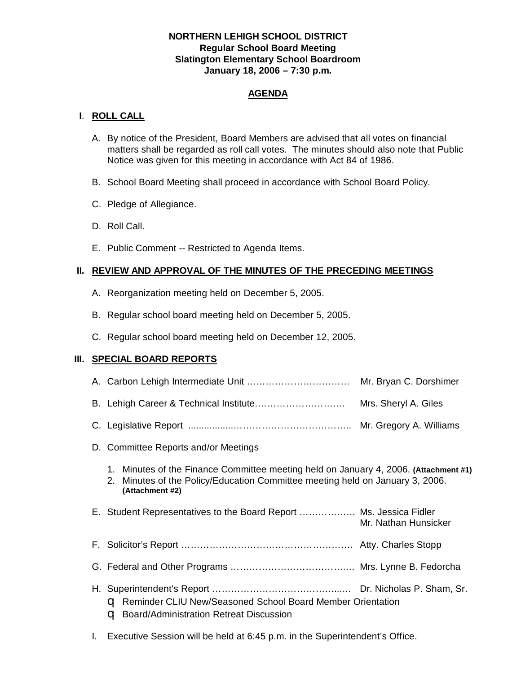# **NORTHERN LEHIGH SCHOOL DISTRICT Regular School Board Meeting Slatington Elementary School Boardroom January 18, 2006 – 7:30 p.m.**

# **AGENDA**

# **I**. **ROLL CALL**

- A. By notice of the President, Board Members are advised that all votes on financial matters shall be regarded as roll call votes. The minutes should also note that Public Notice was given for this meeting in accordance with Act 84 of 1986.
- B. School Board Meeting shall proceed in accordance with School Board Policy.
- C. Pledge of Allegiance.
- D. Roll Call.
- E. Public Comment -- Restricted to Agenda Items.

# **II. REVIEW AND APPROVAL OF THE MINUTES OF THE PRECEDING MEETINGS**

- A. Reorganization meeting held on December 5, 2005.
- B. Regular school board meeting held on December 5, 2005.
- C. Regular school board meeting held on December 12, 2005.

# **III. SPECIAL BOARD REPORTS**

|                                                                                                                                                                                             | Mr. Bryan C. Dorshimer |  |  |  |
|---------------------------------------------------------------------------------------------------------------------------------------------------------------------------------------------|------------------------|--|--|--|
|                                                                                                                                                                                             | Mrs. Sheryl A. Giles   |  |  |  |
|                                                                                                                                                                                             |                        |  |  |  |
| D. Committee Reports and/or Meetings                                                                                                                                                        |                        |  |  |  |
| 1. Minutes of the Finance Committee meeting held on January 4, 2006. (Attachment #1)<br>Minutes of the Policy/Education Committee meeting held on January 3, 2006.<br>2.<br>(Attachment #2) |                        |  |  |  |
| E. Student Representatives to the Board Report  Ms. Jessica Fidler                                                                                                                          | Mr. Nathan Hunsicker   |  |  |  |
|                                                                                                                                                                                             |                        |  |  |  |
|                                                                                                                                                                                             |                        |  |  |  |
| C Reminder CLIU New/Seasoned School Board Member Orientation<br>Board/Administration Retreat Discussion<br>a                                                                                |                        |  |  |  |

I. Executive Session will be held at 6:45 p.m. in the Superintendent's Office.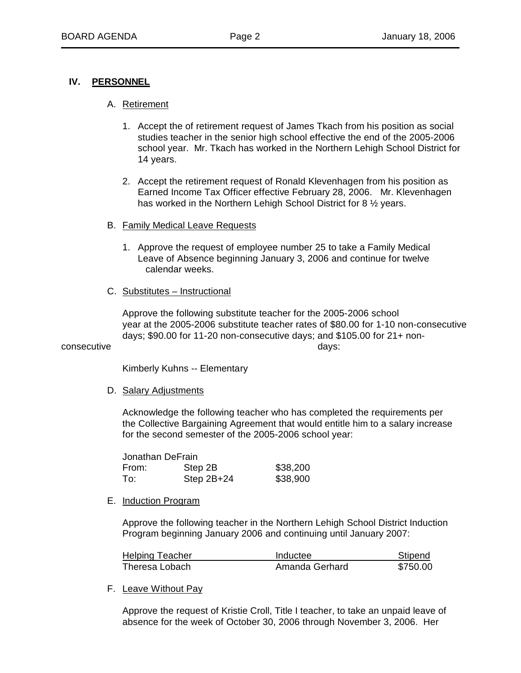## **IV. PERSONNEL**

## A. Retirement

- 1. Accept the of retirement request of James Tkach from his position as social studies teacher in the senior high school effective the end of the 2005-2006 school year. Mr. Tkach has worked in the Northern Lehigh School District for 14 years.
- 2. Accept the retirement request of Ronald Klevenhagen from his position as Earned Income Tax Officer effective February 28, 2006. Mr. Klevenhagen has worked in the Northern Lehigh School District for 8 ½ years.
- B. Family Medical Leave Requests
	- 1. Approve the request of employee number 25 to take a Family Medical Leave of Absence beginning January 3, 2006 and continue for twelve calendar weeks.
- C. Substitutes Instructional

 Approve the following substitute teacher for the 2005-2006 school year at the 2005-2006 substitute teacher rates of \$80.00 for 1-10 non-consecutive days; \$90.00 for 11-20 non-consecutive days; and \$105.00 for 21+ nonconsecutive days:

Kimberly Kuhns -- Elementary

#### D. Salary Adjustments

 Acknowledge the following teacher who has completed the requirements per the Collective Bargaining Agreement that would entitle him to a salary increase for the second semester of the 2005-2006 school year:

|       | Jonathan DeFrain |          |  |  |
|-------|------------------|----------|--|--|
| From: | Step 2B          | \$38,200 |  |  |
| To:   | Step $2B+24$     | \$38,900 |  |  |

#### E. Induction Program

 Approve the following teacher in the Northern Lehigh School District Induction Program beginning January 2006 and continuing until January 2007:

| Helping Teacher | Inductee       | Stipend  |
|-----------------|----------------|----------|
| Theresa Lobach  | Amanda Gerhard | \$750.00 |

F. Leave Without Pay

 Approve the request of Kristie Croll, Title I teacher, to take an unpaid leave of absence for the week of October 30, 2006 through November 3, 2006. Her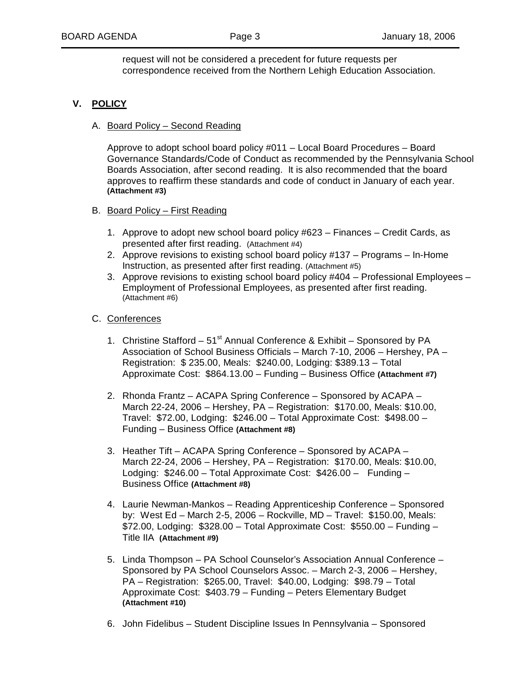request will not be considered a precedent for future requests per correspondence received from the Northern Lehigh Education Association.

# **V. POLICY**

## A. Board Policy – Second Reading

 Approve to adopt school board policy #011 – Local Board Procedures – Board Governance Standards/Code of Conduct as recommended by the Pennsylvania School Boards Association, after second reading. It is also recommended that the board approves to reaffirm these standards and code of conduct in January of each year. **(Attachment #3)**

### B. Board Policy – First Reading

- 1. Approve to adopt new school board policy #623 Finances Credit Cards, as presented after first reading. (Attachment #4)
- 2. Approve revisions to existing school board policy #137 Programs In-Home Instruction, as presented after first reading. (Attachment #5)
- 3. Approve revisions to existing school board policy #404 Professional Employees Employment of Professional Employees, as presented after first reading. (Attachment #6)

### C. Conferences

- 1. Christine Stafford  $51^{st}$  Annual Conference & Exhibit Sponsored by PA Association of School Business Officials – March 7-10, 2006 – Hershey, PA – Registration: \$ 235.00, Meals: \$240.00, Lodging: \$389.13 – Total Approximate Cost: \$864.13.00 – Funding – Business Office **(Attachment #7)**
- 2. Rhonda Frantz ACAPA Spring Conference Sponsored by ACAPA March 22-24, 2006 – Hershey, PA – Registration: \$170.00, Meals: \$10.00, Travel: \$72.00, Lodging: \$246.00 – Total Approximate Cost: \$498.00 – Funding – Business Office **(Attachment #8)**
- 3. Heather Tift ACAPA Spring Conference Sponsored by ACAPA March 22-24, 2006 – Hershey, PA – Registration: \$170.00, Meals: \$10.00, Lodging: \$246.00 – Total Approximate Cost: \$426.00 – Funding – Business Office **(Attachment #8)**
- 4. Laurie Newman-Mankos Reading Apprenticeship Conference Sponsored by: West Ed – March 2-5, 2006 – Rockville, MD – Travel: \$150.00, Meals:  $$72.00$ , Lodging:  $$328.00 - Total Approximate Cost: $550.00 - Funding -$ Title IIA **(Attachment #9)**
- 5. Linda Thompson PA School Counselor's Association Annual Conference Sponsored by PA School Counselors Assoc. – March 2-3, 2006 – Hershey, PA – Registration: \$265.00, Travel: \$40.00, Lodging: \$98.79 – Total Approximate Cost: \$403.79 – Funding – Peters Elementary Budget **(Attachment #10)**
- 6. John Fidelibus Student Discipline Issues In Pennsylvania Sponsored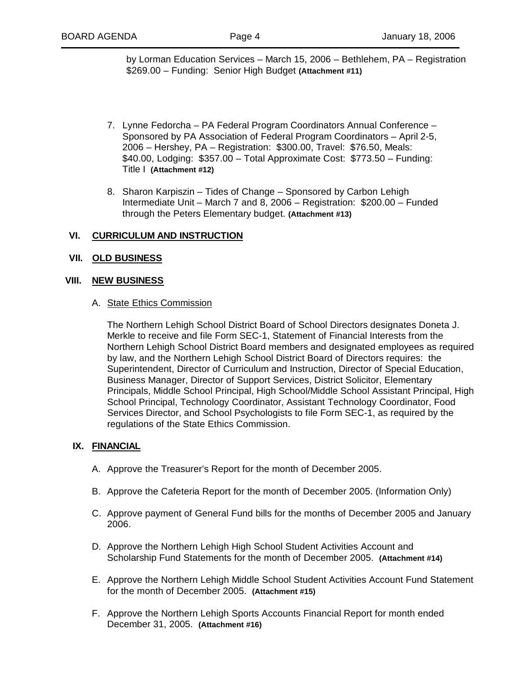by Lorman Education Services – March 15, 2006 – Bethlehem, PA – Registration \$269.00 – Funding: Senior High Budget **(Attachment #11)**

- 7. Lynne Fedorcha PA Federal Program Coordinators Annual Conference Sponsored by PA Association of Federal Program Coordinators – April 2-5, 2006 – Hershey, PA – Registration: \$300.00, Travel: \$76.50, Meals: \$40.00, Lodging: \$357.00 – Total Approximate Cost: \$773.50 – Funding: Title I **(Attachment #12)**
- 8. Sharon Karpiszin Tides of Change Sponsored by Carbon Lehigh Intermediate Unit – March 7 and 8, 2006 – Registration: \$200.00 – Funded through the Peters Elementary budget. **(Attachment #13)**

## **VI. CURRICULUM AND INSTRUCTION**

#### **VII. OLD BUSINESS**

#### **VIII. NEW BUSINESS**

#### A. State Ethics Commission

 The Northern Lehigh School District Board of School Directors designates Doneta J. Merkle to receive and file Form SEC-1, Statement of Financial Interests from the Northern Lehigh School District Board members and designated employees as required by law, and the Northern Lehigh School District Board of Directors requires: the Superintendent, Director of Curriculum and Instruction, Director of Special Education, Business Manager, Director of Support Services, District Solicitor, Elementary Principals, Middle School Principal, High School/Middle School Assistant Principal, High School Principal, Technology Coordinator, Assistant Technology Coordinator, Food Services Director, and School Psychologists to file Form SEC-1, as required by the regulations of the State Ethics Commission.

#### **IX. FINANCIAL**

- A. Approve the Treasurer's Report for the month of December 2005.
- B. Approve the Cafeteria Report for the month of December 2005. (Information Only)
- C. Approve payment of General Fund bills for the months of December 2005 and January 2006.
- D. Approve the Northern Lehigh High School Student Activities Account and Scholarship Fund Statements for the month of December 2005. **(Attachment #14)**
- E. Approve the Northern Lehigh Middle School Student Activities Account Fund Statement for the month of December 2005. **(Attachment #15)**
- F. Approve the Northern Lehigh Sports Accounts Financial Report for month ended December 31, 2005. **(Attachment #16)**